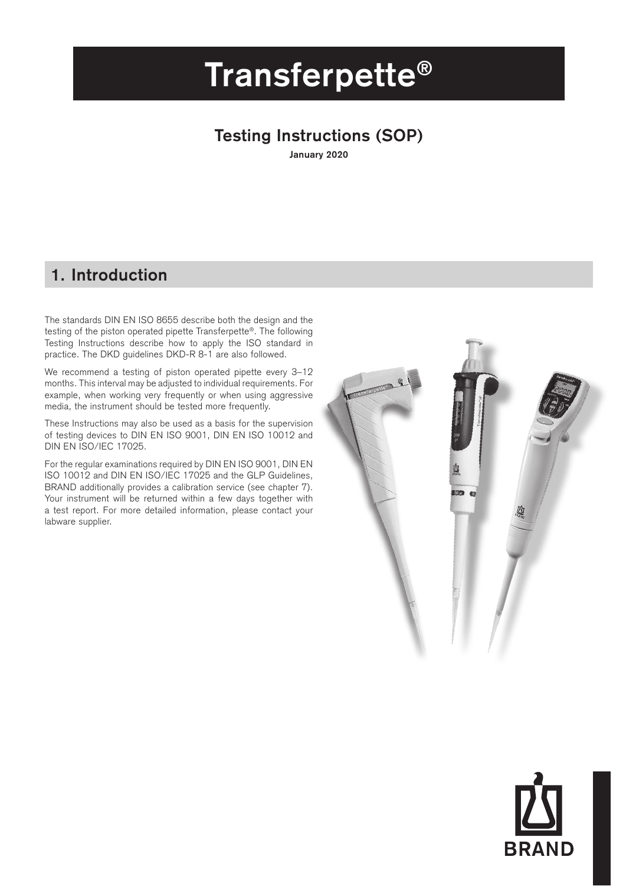# **Transferpette®**

## **Testing Instructions (SOP)**

**January 2020**

## **1. Introduction**

The standards DIN EN ISO 8655 describe both the design and the testing of the piston operated pipette Transferpette®. The following Testing Instructions describe how to apply the ISO standard in practice. The DKD guidelines DKD-R 8-1 are also followed.

We recommend a testing of piston operated pipette every 3–12 months. This interval may be adjusted to individual requirements. For example, when working very frequently or when using aggressive media, the instrument should be tested more frequently.

These Instructions may also be used as a basis for the supervision of testing devices to DIN EN ISO 9001, DIN EN ISO 10012 and DIN EN ISO/IEC 17025.

For the regular examinations required by DIN EN ISO 9001, DIN EN ISO 10012 and DIN EN ISO/IEC 17025 and the GLP Guidelines, BRAND additionally provides a calibration service (see chapter 7). Your instrument will be returned within a few days together with a test report. For more detailed information, please contact your labware supplier.



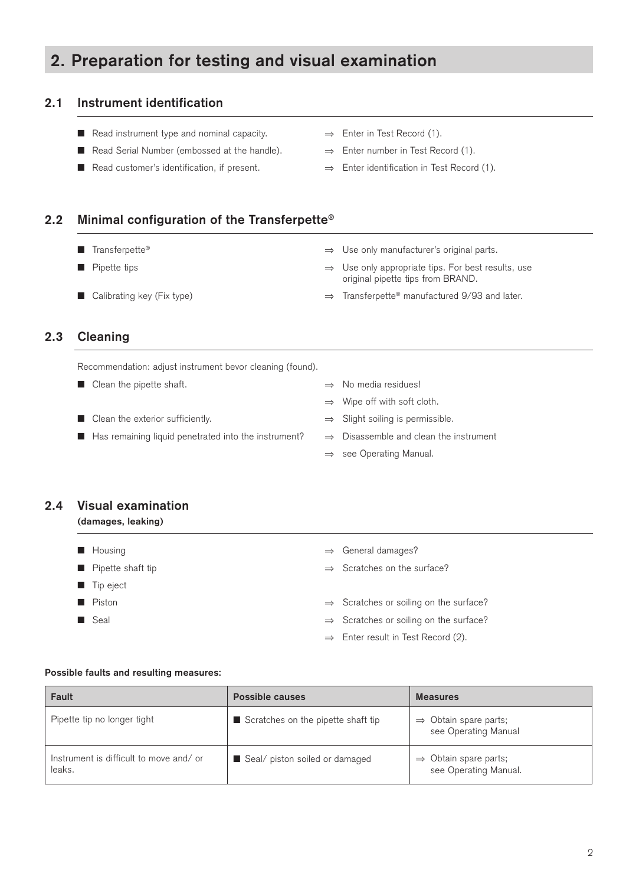## **2. Preparation for testing and visual examination**

### **2.1 Instrument identification**

- Read instrument type and nominal capacity. <br>■ Enter in Test Record (1).
- Read Serial Number (embossed at the handle). ⇒ Enter number in Test Record (1).
- Read customer's identification, if present. → Enter identification in Test Record (1).
- 
- -

### **2.2 Minimal configuration of the Transferpette®**

- 
- 
- Transferpette® → Dise only manufacturer's original parts.
- Pipette tips <br>
→ Use only appropriate tips. For best results, use original pipette tips from BRAND.
- Calibrating key (Fix type) → Transferpette® manufactured 9/93 and later.

### **2.3 Cleaning**

Recommendation: adjust instrument bevor cleaning (found).

- Clean the pipette shaft. <br>■ Clean the pipette shaft. <br>■ No media residues!
	-
- Has remaining liquid penetrated into the instrument? → Disassemble and clean the instrument
- 
- ⇒ Wipe off with soft cloth.
- Clean the exterior sufficiently. Slight soiling is permissible.
	-
	- ⇒ see Operating Manual.

## **2.4 Visual examination**

#### **(damages, leaking)**

- 
- 
- **n** Tip eject
- 
- 
- Housing ⇒ General damages?
- Pipette shaft tip <br>
→ Scratches on the surface?
- Piston ⇒ Scratches or soiling on the surface?
- Seal ⇒ Scratches or soiling on the surface?
	- ⇒ Enter result in Test Record (2).

#### **Possible faults and resulting measures:**

| Fault                                            | Possible causes                    | <b>Measures</b>                                            |
|--------------------------------------------------|------------------------------------|------------------------------------------------------------|
| Pipette tip no longer tight                      | Scratches on the pipette shaft tip | $\Rightarrow$ Obtain spare parts;<br>see Operating Manual  |
| Instrument is difficult to move and/or<br>leaks. | Seal/ piston soiled or damaged     | $\Rightarrow$ Obtain spare parts;<br>see Operating Manual. |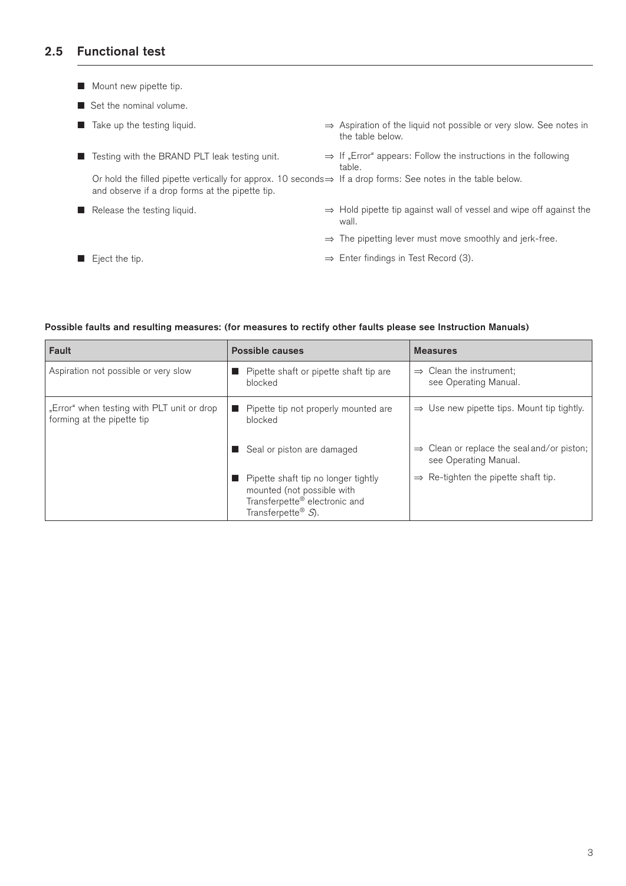## **2.5 Functional test**

- $\blacksquare$  Mount new pipette tip.
- $\blacksquare$  Set the nominal volume.

|                | $\blacksquare$ Take up the testing liquid.                                                                                                                                   | $\Rightarrow$ Aspiration of the liquid not possible or very slow. See notes in<br>the table below. |
|----------------|------------------------------------------------------------------------------------------------------------------------------------------------------------------------------|----------------------------------------------------------------------------------------------------|
| <b>COLLEGE</b> | Testing with the BRAND PLT leak testing unit.                                                                                                                                | $\Rightarrow$ If "Error" appears: Follow the instructions in the following<br>table.               |
|                | Or hold the filled pipette vertically for approx. 10 seconds $\Rightarrow$ If a drop forms: See notes in the table below.<br>and observe if a drop forms at the pipette tip. |                                                                                                    |
|                | $\blacksquare$ Release the testing liquid.                                                                                                                                   | $\Rightarrow$ Hold pipette tip against wall of vessel and wipe off against the<br>wall.            |
|                |                                                                                                                                                                              | $\Rightarrow$ The pipetting lever must move smoothly and jerk-free.                                |
|                | $\blacksquare$ Eject the tip.                                                                                                                                                | $\Rightarrow$ Enter findings in Test Record (3).                                                   |

### **Possible faults and resulting measures: (for measures to rectify other faults please see Instruction Manuals)**

| Fault                                                                    | Possible causes                                                                                                                         | <b>Measures</b>                                                                 |
|--------------------------------------------------------------------------|-----------------------------------------------------------------------------------------------------------------------------------------|---------------------------------------------------------------------------------|
| Aspiration not possible or very slow                                     | Pipette shaft or pipette shaft tip are<br>blocked                                                                                       | $\Rightarrow$ Clean the instrument;<br>see Operating Manual.                    |
| "Error" when testing with PLT unit or drop<br>forming at the pipette tip | Pipette tip not properly mounted are<br>blocked                                                                                         | $\Rightarrow$ Use new pipette tips. Mount tip tightly.                          |
|                                                                          | Seal or piston are damaged                                                                                                              | $\Rightarrow$ Clean or replace the seal and/or piston;<br>see Operating Manual. |
|                                                                          | Pipette shaft tip no longer tightly<br>mounted (not possible with<br>Transferpette® electronic and<br>Transferpette <sup>®</sup> $S$ ). | $\Rightarrow$ Re-tighten the pipette shaft tip.                                 |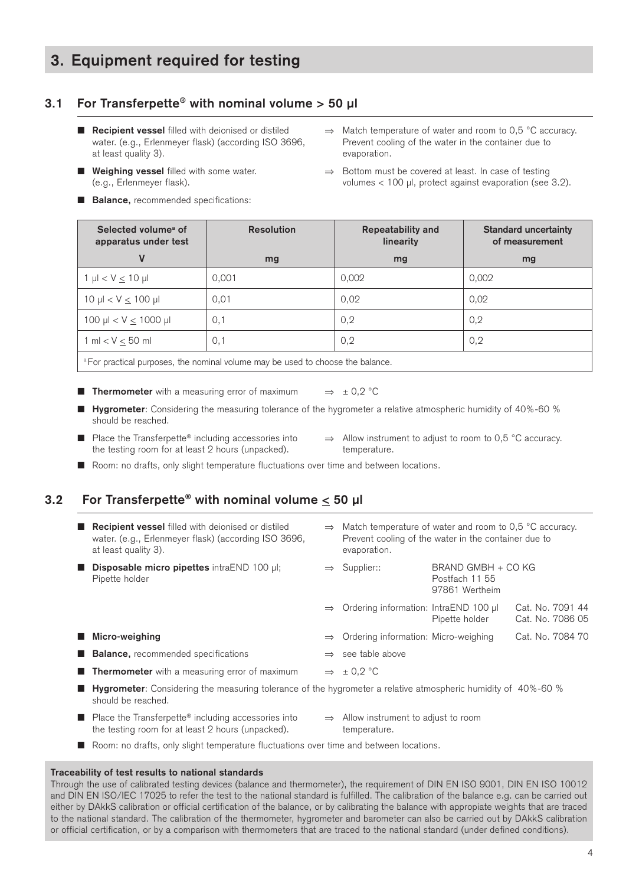## **3. Equipment required for testing**

## **3.1 For Transferpette® with nominal volume > 50 µl**

- at least quality 3). The set of the set of the set of the set of the set of the set of the set of the set of the set of the set of the set of the set of the set of the set of the set of the set of the set of the set of the
- 
- **Balance,** recommended specifications:
- **Recipient vessel** filled with deionised or distiled  $\Rightarrow$  Match temperature of water and room to 0,5 °C accuracy. water. (e.g., Erlenmeyer flask) (according ISO 3696, Prevent cooling of the water in the container due to
- **n Weighing vessel** filled with some water.  $\Rightarrow$  Bottom must be covered at least. In case of testing (e.g., Erlenmeyer flask). volumes < 100 µl, protect against evaporation (see 3.2).

| Selected volume <sup>a</sup> of<br>apparatus under test                                    | <b>Resolution</b> | <b>Repeatability and</b><br>linearity | <b>Standard uncertainty</b><br>of measurement |  |  |
|--------------------------------------------------------------------------------------------|-------------------|---------------------------------------|-----------------------------------------------|--|--|
| ٧                                                                                          | mg                | mg                                    | mg                                            |  |  |
| $1 \mu l < V \leq 10 \mu l$                                                                | 0.001             | 0,002                                 | 0.002                                         |  |  |
| $10 \mu$ l < V $\leq 100 \mu$ l                                                            | 0,01              | 0,02                                  | 0.02                                          |  |  |
| 100 µl < $V \le 1000$ µl                                                                   | 0,1               | 0,2                                   | 0,2                                           |  |  |
| $1 m l < V \le 50 ml$                                                                      | 0,1               | 0,2                                   | 0,2                                           |  |  |
| <sup>a</sup> For practical purposes, the nominal volume may be used to choose the balance. |                   |                                       |                                               |  |  |

- **Thermometer** with a measuring error of maximum  $\Rightarrow$   $\pm 0.2$  °C
	- n **Hygrometer**: Considering the measuring tolerance of the hygrometer a relative atmospheric humidity of 40%-60 % should be reached.
- Place the Transferpette® including accessories into  $\Rightarrow$  Allow instrument to adjust to room to 0,5 °C accuracy. the testing room for at least 2 hours (unpacked). temperature.
- Room: no drafts, only slight temperature fluctuations over time and between locations.

### **3.2 For Transferpette® with nominal volume < 50 µl**

|     | <b>Recipient vessel</b> filled with deionised or distiled<br>water. (e.g., Erlenmeyer flask) (according ISO 3696,<br>at least quality 3). | $\Rightarrow$ Match temperature of water and room to 0,5 °C accuracy.<br>Prevent cooling of the water in the container due to<br>evaporation. |                                                        |                                      |
|-----|-------------------------------------------------------------------------------------------------------------------------------------------|-----------------------------------------------------------------------------------------------------------------------------------------------|--------------------------------------------------------|--------------------------------------|
| . . | Disposable micro pipettes intraEND 100 µl;<br>Pipette holder                                                                              | $\Rightarrow$ Supplier::                                                                                                                      | BRAND GMBH + CO KG<br>Postfach 11 55<br>97861 Wertheim |                                      |
|     |                                                                                                                                           | $\Rightarrow$ Ordering information: IntraEND 100 µl                                                                                           | Pipette holder                                         | Cat. No. 7091 44<br>Cat. No. 7086 05 |
|     | Micro-weighing                                                                                                                            | $\Rightarrow$ Ordering information: Micro-weighing                                                                                            |                                                        | Cat. No. 7084 70                     |
|     | <b>Balance, recommended specifications</b>                                                                                                | $\Rightarrow$ see table above                                                                                                                 |                                                        |                                      |
|     | <b>Thermometer</b> with a measuring error of maximum                                                                                      | $\Rightarrow$ ± 0.2 °C                                                                                                                        |                                                        |                                      |
|     |                                                                                                                                           |                                                                                                                                               |                                                        |                                      |

- **Hygrometer**: Considering the measuring tolerance of the hygrometer a relative atmospheric humidity of 40%-60 % should be reached.
- Place the Transferpette<sup>®</sup> including accessories into  $\Rightarrow$  Allow instrument to adjust to room the testing room for at least 2 hours (unpacked). temperature.
- Room: no drafts, only slight temperature fluctuations over time and between locations.

#### **Traceability of test results to national standards**

Through the use of calibrated testing devices (balance and thermometer), the requirement of DIN EN ISO 9001, DIN EN ISO 10012 and DIN EN ISO/IEC 17025 to refer the test to the national standard is fulfilled. The calibration of the balance e.g. can be carried out either by DAkkS calibration or official certification of the balance, or by calibrating the balance with appropiate weights that are traced to the national standard. The calibration of the thermometer, hygrometer and barometer can also be carried out by DAkkS calibration or official certification, or by a comparison with thermometers that are traced to the national standard (under defined conditions).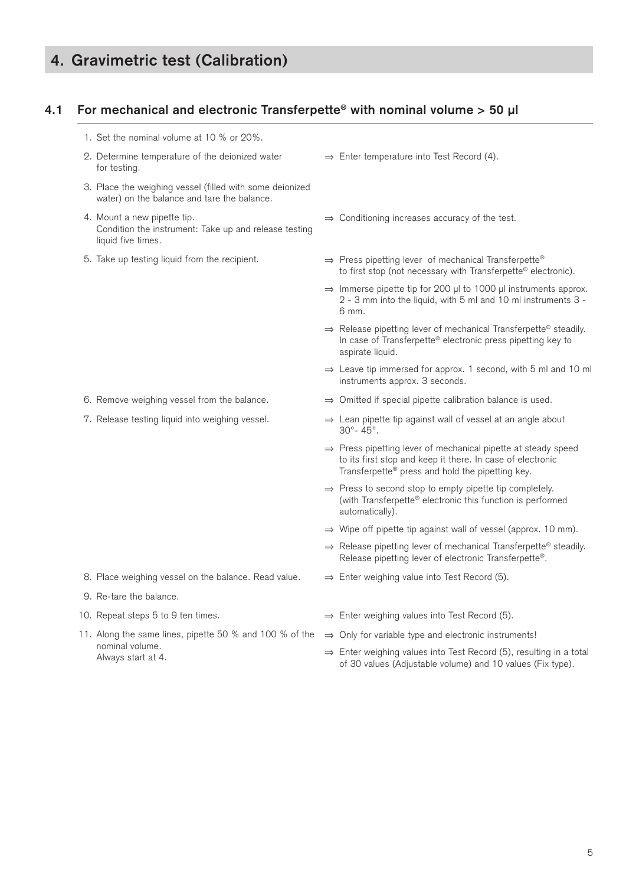## **4. Gravimetric test (Calibration)**

### **4.1 For mechanical and electronic Transferpette® with nominal volume > 50 µl**

1. Set the nominal volume at 10 % or 20%. 2. Determine temperature of the deionized water for testing. ⇒ Enter temperature into Test Record (4). 3. Place the weighing vessel (filled with some deionized water) on the balance and tare the balance. 4. Mount a new pipette tip. Condition the instrument: Take up and release testing liquid five times. ⇒ Conditioning increases accuracy of the test. 5. Take up testing liquid from the recipient. ⇒ Press pipetting lever of mechanical Transferpette® to first stop (not necessary with Transferpette® electronic). ⇒ Immerse pipette tip for 200 µl to 1000 µl instruments approx. 2 - 3 mm into the liquid, with 5 ml and 10 ml instruments 3 - 6 mm. ⇒ Release pipetting lever of mechanical Transferpette® steadily. In case of Transferpette® electronic press pipetting key to aspirate liquid. ⇒ Leave tip immersed for approx. 1 second, with 5 ml and 10 ml instruments approx. 3 seconds. 6. Remove weighing vessel from the balance.  $\Rightarrow$  Omitted if special pipette calibration balance is used. 7. Release testing liquid into weighing vessel. ⇒ Lean pipette tip against wall of vessel at an angle about 30°- 45°. ⇒ Press pipetting lever of mechanical pipette at steady speed to its first stop and keep it there. In case of electronic Transferpette® press and hold the pipetting key. ⇒ Press to second stop to empty pipette tip completely. (with Transferpette® electronic this function is performed automatically). ⇒ Wipe off pipette tip against wall of vessel (approx. 10 mm). ⇒ Release pipetting lever of mechanical Transferpette® steadily. Release pipetting lever of electronic Transferpette®. 8. Place weighing vessel on the balance. Read value.  $\Rightarrow$  Enter weighing value into Test Record (5). 9. Re-tare the balance. 10. Repeat steps 5 to 9 ten times. ⇒ Enter weighing values into Test Record (5). 11. Along the same lines, pipette 50 % and 100 % of the nominal volume. Always start at 4. ⇒ Only for variable type and electronic instruments! ⇒ Enter weighing values into Test Record (5), resulting in a total of 30 values (Adjustable volume) and 10 values (Fix type).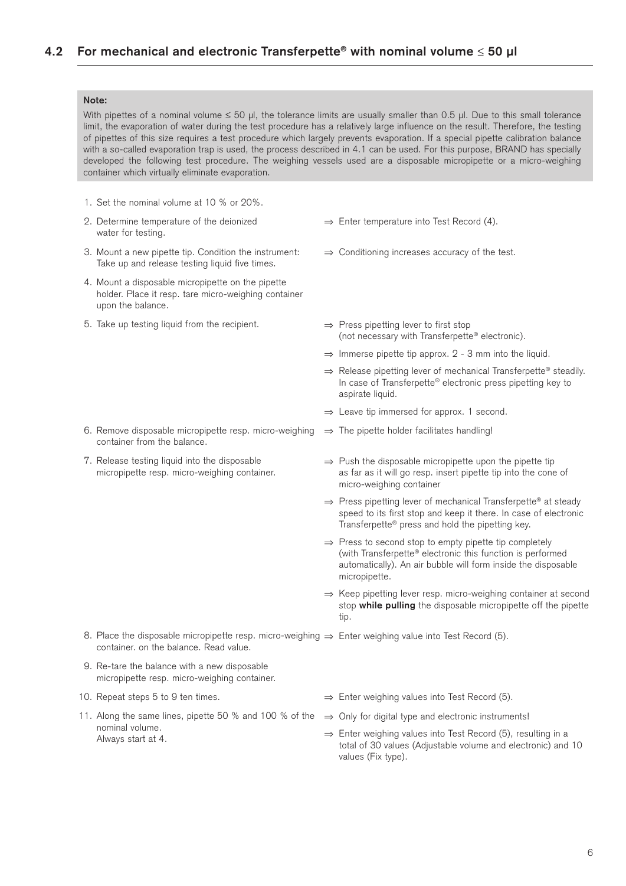#### **Note:**

With pipettes of a nominal volume  $\leq 50$  µl, the tolerance limits are usually smaller than 0.5 µl. Due to this small tolerance limit, the evaporation of water during the test procedure has a relatively large influence on the result. Therefore, the testing of pipettes of this size requires a test procedure which largely prevents evaporation. If a special pipette calibration balance with a so-called evaporation trap is used, the process described in 4.1 can be used. For this purpose, BRAND has specially developed the following test procedure. The weighing vessels used are a disposable micropipette or a micro-weighing container which virtually eliminate evaporation.

- 1. Set the nominal volume at 10 % or 20%.
- 2. Determine temperature of the deionized water for testing.
- 3. Mount a new pipette tip. Condition the instrument: Take up and release testing liquid five times.
- 4. Mount a disposable micropipette on the pipette holder. Place it resp. tare micro-weighing container upon the balance.
- 5. Take up testing liquid from the recipient. ⇒ Press pipetting lever to first stop

- 6. Remove disposable micropipette resp. micro-weighing ⇒ The pipette holder facilitates handling! container from the balance.
- 7. Release testing liquid into the disposable micropipette resp. micro-weighing container.
- ⇒ Enter temperature into Test Record (4).
- ⇒ Conditioning increases accuracy of the test.
- (not necessary with Transferpette® electronic).
- $\Rightarrow$  Immerse pipette tip approx. 2 3 mm into the liquid.
- ⇒ Release pipetting lever of mechanical Transferpette® steadily. In case of Transferpette® electronic press pipetting key to aspirate liquid.
- ⇒ Leave tip immersed for approx. 1 second.
- 
- ⇒ Push the disposable micropipette upon the pipette tip as far as it will go resp. insert pipette tip into the cone of micro-weighing container
- ⇒ Press pipetting lever of mechanical Transferpette® at steady speed to its first stop and keep it there. In case of electronic Transferpette® press and hold the pipetting key.
- ⇒ Press to second stop to empty pipette tip completely (with Transferpette® electronic this function is performed automatically). An air bubble will form inside the disposable micropipette.
- ⇒ Keep pipetting lever resp. micro-weighing container at second stop **while pulling** the disposable micropipette off the pipette tip.

8. Place the disposable micropipette resp. micro-weighing ⇒ Enter weighing value into Test Record (5). container. on the balance. Read value.

- 9. Re-tare the balance with a new disposable micropipette resp. micro-weighing container.
- 
- 11. Along the same lines, pipette 50 % and 100 % of the ⇒ Only for digital type and electronic instruments! nominal volume. Always start at 4.
- 10. Repeat steps 5 to 9 ten times. ⇒ Enter weighing values into Test Record (5).
	-
	- ⇒ Enter weighing values into Test Record (5), resulting in a total of 30 values (Adjustable volume and electronic) and 10 values (Fix type).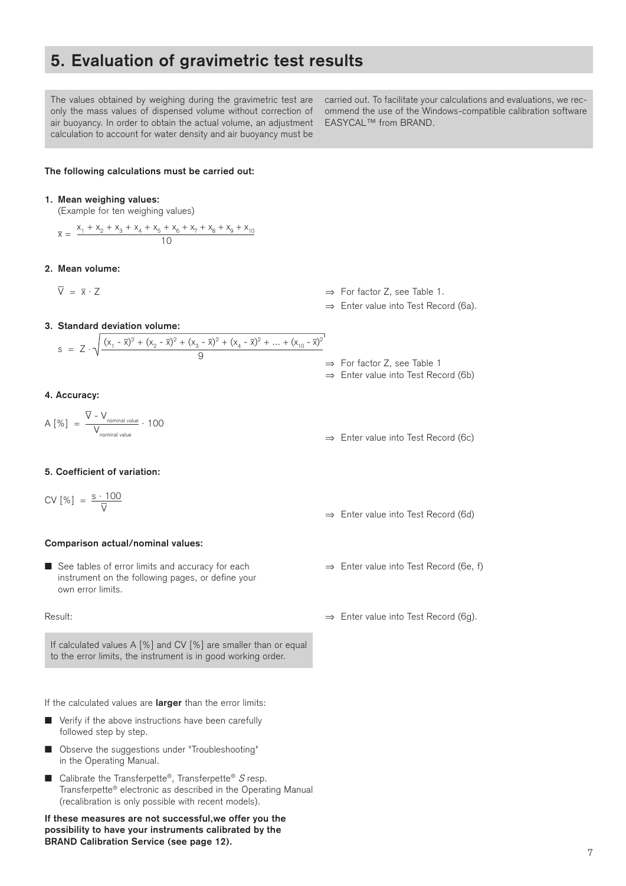## **5. Evaluation of gravimetric test results**

The values obtained by weighing during the gravimetric test are only the mass values of dispensed volume without correction of air buoyancy. In order to obtain the actual volume, an adjustment calculation to account for water density and air buoyancy must be

carried out. To facilitate your calculations and evaluations, we recommend the use of the Windows-compatible calibration software EASYCAL™ from BRAND.

#### **The following calculations must be carried out:**

#### **1. Mean weighing values:**

(Example for ten weighing values)

$$
\overline{x} = \frac{x_1 + x_2 + x_3 + x_4 + x_5 + x_6 + x_7 + x_8 + x_9 + x_{10}}{10}
$$

#### **2. Mean volume:**

 $\overline{V} = \overline{x}$ 

 $\Rightarrow$  For factor Z, see Table 1.

 ⇒ Enter value into Test Record (6a).

**3. Standard deviation volume:** 

$$
s = Z \cdot \sqrt{\frac{(x_1 - \overline{x})^2 + (x_2 - \overline{x})^2 + (x_3 - \overline{x})^2 + (x_4 - \overline{x})^2 + \dots + (x_{10} - \overline{x})^2}{9}}
$$

#### **4. Accuracy:**

$$
A [\%] = \frac{\nabla - V_{nominal value}}{V_{nominal value}} \cdot 100
$$

#### **5. Coefficient of variation:**

$$
CV [%] = \frac{s \cdot 100}{\nabla}
$$

#### **Comparison actual/nominal values:**

■ See tables of error limits and accuracy for each  $\Rightarrow$  Enter value into Test Record (6e, f) instrument on the following pages, or define your own error limits.

If calculated values A [%] and CV [%] are smaller than or equal to the error limits, the instrument is in good working order.

If the calculated values are **larger** than the error limits:

- $\blacksquare$  Verify if the above instructions have been carefully followed step by step.
- Observe the suggestions under "Troubleshooting" in the Operating Manual.
- Calibrate the Transferpette®, Transferpette®  $S$  resp. Transferpette® electronic as described in the Operating Manual (recalibration is only possible with recent models).

**If these measures are not successful,we offer you the possibility to have your instruments calibrated by the BRAND Calibration Service (see page 12).**

- ⇒ For factor Z, see Table 1
- ⇒ Enter value into Test Record (6b)
- ⇒ Enter value into Test Record (6c)
- ⇒ Enter value into Test Record (6d)
- 
- Result: ⇒ Enter value into Test Record (6g).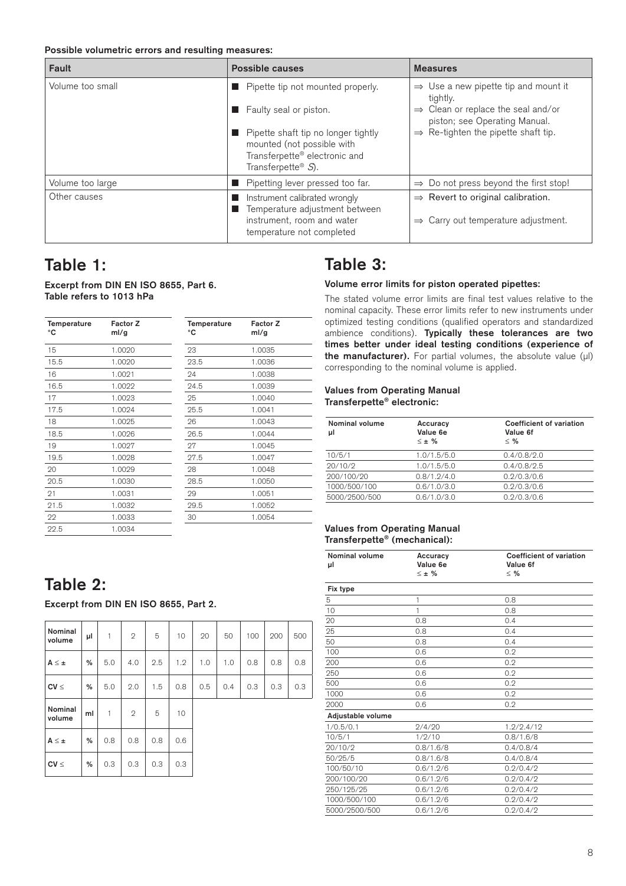**Possible volumetric errors and resulting measures:** 

| Fault            | Possible causes                                                                                                                      | <b>Measures</b>                                                                                  |
|------------------|--------------------------------------------------------------------------------------------------------------------------------------|--------------------------------------------------------------------------------------------------|
| Volume too small | Pipette tip not mounted properly.                                                                                                    | $\Rightarrow$ Use a new pipette tip and mount it<br>tightly.                                     |
|                  | Faulty seal or piston.                                                                                                               | $\Rightarrow$ Clean or replace the seal and/or<br>piston; see Operating Manual.                  |
|                  | Pipette shaft tip no longer tightly<br>mounted (not possible with<br>Transferpette® electronic and<br>Transferpette <sup>®</sup> S). | $\Rightarrow$ Re-tighten the pipette shaft tip.                                                  |
| Volume too large | Pipetting lever pressed too far.                                                                                                     | $\Rightarrow$ Do not press beyond the first stop!                                                |
| Other causes     | Instrument calibrated wrongly<br>Temperature adjustment between<br>instrument, room and water<br>temperature not completed           | $\Rightarrow$ Revert to original calibration.<br>$\Rightarrow$ Carry out temperature adjustment. |

## **Table 1:**

### **Excerpt from DIN EN ISO 8655, Part 6. Table refers to 1013 hPa**

| Temperature<br>۰c | Factor Z<br>ml/g | Temperature<br>۰c | Factor Z<br>ml/g |
|-------------------|------------------|-------------------|------------------|
| 15                | 1.0020           | 23                | 1.0035           |
| 15.5              | 1.0020           | 23.5              | 1.0036           |
| 16                | 1.0021           | 24                | 1.0038           |
| 16.5              | 1.0022           | 24.5              | 1.0039           |
| 17                | 1.0023           | 25                | 1.0040           |
| 17.5              | 1.0024           | 25.5              | 1.0041           |
| 18                | 1.0025           | 26                | 1.0043           |
| 18.5              | 1.0026           | 26.5              | 1.0044           |
| 19                | 1.0027           | 27                | 1.0045           |
| 19.5              | 1.0028           | 27.5              | 1.0047           |
| 20                | 1.0029           | 28                | 1.0048           |
| 20.5              | 1.0030           | 28.5              | 1.0050           |
| 21                | 1.0031           | 29                | 1.0051           |
| 21.5              | 1.0032           | 29.5              | 1.0052           |
| 22                | 1.0033           | 30                | 1.0054           |
| 22.5              | 1.0034           |                   |                  |

## **Table 2:**

**Excerpt from DIN EN ISO 8655, Part 2.**

| Nominal<br>volume | μl | 1   | $\overline{2}$ | 5   | 10  | 20  | 50  | 100 | 200 | 500 |
|-------------------|----|-----|----------------|-----|-----|-----|-----|-----|-----|-----|
| $A \leq \pm$      | %  | 5.0 | 4.0            | 2.5 | 1.2 | 1.0 | 1.0 | 0.8 | 0.8 | 0.8 |
| $CV \leq$         | %  | 5.0 | 2.0            | 1.5 | 0.8 | 0.5 | 0.4 | 0.3 | 0.3 | 0.3 |
| Nominal<br>volume | ml | 1   | $\mathbf{2}$   | 5   | 10  |     |     |     |     |     |
| $A \leq \pm$      | %  | 0.8 | 0.8            | 0.8 | 0.6 |     |     |     |     |     |
| $CV \leq$         | %  | 0.3 | 0.3            | 0.3 | 0.3 |     |     |     |     |     |

## **Table 3:**

#### **Volume error limits for piston operated pipettes:**

The stated volume error limits are final test values relative to the nominal capacity. These error limits refer to new instruments under optimized testing conditions (qualified operators and standardized ambience conditions). **Typically these tolerances are two times better under ideal testing conditions (experience of**  the manufacturer). For partial volumes, the absolute value (µl) corresponding to the nominal volume is applied.

#### **Values from Operating Manual Transferpette® electronic:**

| Nominal volume<br>μl | Accuracy<br>Value 6e<br>$\leq \pm$ % | Coefficient of variation<br>Value 6f<br>< 9/2 |
|----------------------|--------------------------------------|-----------------------------------------------|
| 10/5/1               | 1.0/1.5/5.0                          | 0.4/0.8/2.0                                   |
| 20/10/2              | 1.0/1.5/5.0                          | 0.4/0.8/2.5                                   |
| 200/100/20           | 0.8/1.2/4.0                          | 0.2/0.3/0.6                                   |
| 1000/500/100         | 0.6/1.0/3.0                          | 0.2/0.3/0.6                                   |
| 5000/2500/500        | 0.6/1.0/3.0                          | 0.2/0.3/0.6                                   |

#### **Values from Operating Manual Transferpette® (mechanical):**

| <b>Nominal volume</b><br>μl | Accuracy<br>Value 6e | <b>Coefficient of variation</b><br>Value 6f |
|-----------------------------|----------------------|---------------------------------------------|
|                             | $\leq \pm \%$        | $\leq$ %                                    |
| Fix type                    |                      |                                             |
| 5                           | 1                    | 0.8                                         |
| 10                          | 1                    | 0.8                                         |
| 20                          | 0.8                  | 0.4                                         |
| 25                          | 0.8                  | 0.4                                         |
| 50                          | 0.8                  | 0.4                                         |
| 100                         | 0.6                  | 0.2                                         |
| 200                         | 0.6                  | 0.2                                         |
| 250                         | 0.6                  | 0.2                                         |
| 500                         | 0.6                  | 0.2                                         |
| 1000                        | 0.6                  | 0.2                                         |
| 2000                        | 0.6                  | 0.2                                         |
| Adjustable volume           |                      |                                             |
| 1/0.5/0.1                   | 2/4/20               | 1.2/2.4/12                                  |
| 10/5/1                      | 1/9/10               | 0.8/1.6/8                                   |
| 20/10/2                     | 0.8/1.6/8            | 0.4/0.8/4                                   |
| 50/25/5                     | 0.8/1.6/8            | 0.4/0.8/4                                   |
| 100/50/10                   | 0.6/1.2/6            | 0.2/0.4/2                                   |
| 200/100/20                  | 0.6/1.2/6            | 0.2/0.4/2                                   |
| 250/125/25                  | 0.6/1.2/6            | 0.2/0.4/2                                   |
| 1000/500/100                | 0.6/1.2/6            | 0.2/0.4/2                                   |
| 5000/2500/500               | 0.6/1.2/6            | 0.2/0.4/2                                   |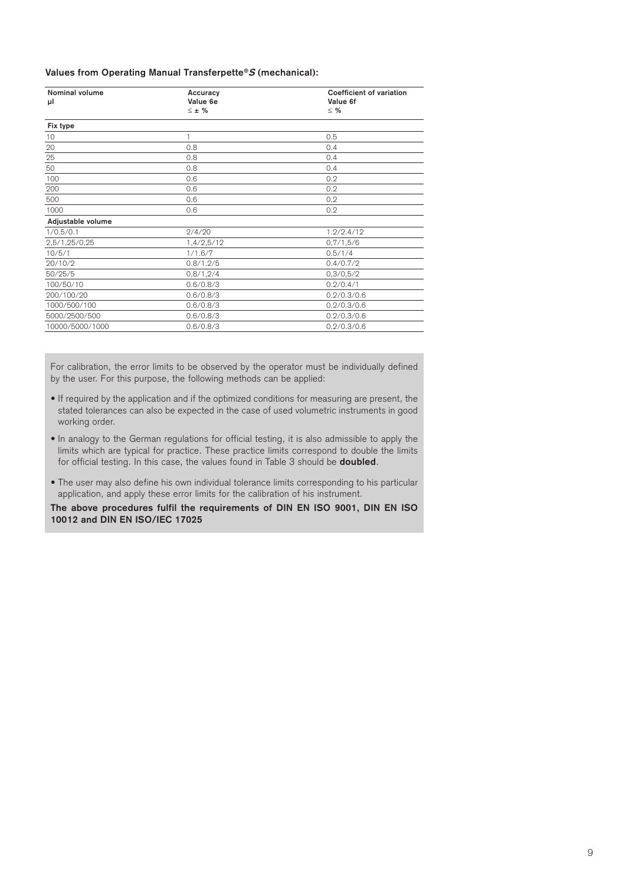### **Values from Operating Manual Transferpette®S (mechanical):**

| <b>Nominal volume</b> | Accuracy     | <b>Coefficient of variation</b> |
|-----------------------|--------------|---------------------------------|
| μl                    | Value 6e     | Value 6f                        |
|                       | $\leq \pm$ % | $\leq$ %                        |
| Fix type              |              |                                 |
| 10                    | 1            | 0.5                             |
| 20                    | 0.8          | 0.4                             |
| 25                    | 0.8          | 0.4                             |
| 50                    | 0.8          | 0.4                             |
| 100                   | 0.6          | 0.2                             |
| 200                   | 0.6          | 0.2                             |
| 500                   | 0.6          | 0.2                             |
| 1000                  | 0.6          | 0.2                             |
| Adjustable volume     |              |                                 |
| 1/0.5/0.1             | 2/4/20       | 1.2/2.4/12                      |
| 2,5/1,25/0,25         | 1,4/2,5/12   | 0,7/1,5/6                       |
| 10/5/1                | 1/1.6/7      | 0.5/1/4                         |
| 20/10/2               | 0.8/1.2/5    | 0.4/0.7/2                       |
| 50/25/5               | 0.8/1,2/4    | 0,3/0,5/2                       |
| 100/50/10             | 0.6/0.8/3    | 0.2/0.4/1                       |
| 200/100/20            | 0.6/0.8/3    | 0.2/0.3/0.6                     |
| 1000/500/100          | 0.6/0.8/3    | 0.2/0.3/0.6                     |
| 5000/2500/500         | 0.6/0.8/3    | 0.2/0.3/0.6                     |
| 10000/5000/1000       | 0.6/0.8/3    | 0.2/0.3/0.6                     |

For calibration, the error limits to be observed by the operator must be individually defined by the user. For this purpose, the following methods can be applied:

- If required by the application and if the optimized conditions for measuring are present, the stated tolerances can also be expected in the case of used volumetric instruments in good working order.
- In analogy to the German regulations for official testing, it is also admissible to apply the limits which are typical for practice. These practice limits correspond to double the limits for official testing. In this case, the values found in Table 3 should be **doubled**.
- The user may also define his own individual tolerance limits corresponding to his particular application, and apply these error limits for the calibration of his instrument.

**The above procedures fulfil the requirements of DIN EN ISO 9001, DIN EN ISO 10012 and DIN EN ISO/IEC 17025**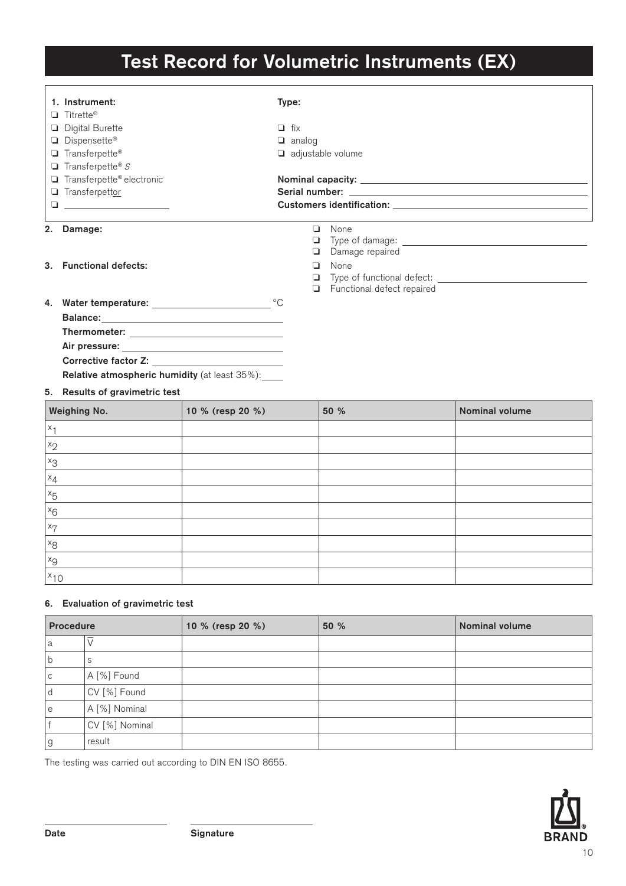## **Test Record for Volumetric Instruments (EX)**

|          | 1. Instrument:<br>$\Box$ Titrette®                   |                                  | Type:         |                            |                       |
|----------|------------------------------------------------------|----------------------------------|---------------|----------------------------|-----------------------|
|          |                                                      |                                  | $\Box$ fix    |                            |                       |
|          | <b>Digital Burette</b><br>Dispensette®               |                                  |               |                            |                       |
|          |                                                      |                                  | $\Box$ analog |                            |                       |
|          | Transferpette®                                       |                                  |               | $\Box$ adjustable volume   |                       |
|          | $\Box$ Transferpette® S                              |                                  |               |                            |                       |
|          | Transferpette® electronic                            |                                  |               |                            |                       |
|          | Transferpettor                                       |                                  |               |                            |                       |
|          |                                                      |                                  |               |                            |                       |
|          | 2. Damage:                                           |                                  |               | <b>Q</b> None              |                       |
|          |                                                      |                                  |               |                            |                       |
|          |                                                      |                                  |               | Damage repaired            |                       |
|          | 3. Functional defects:                               |                                  | $\Box$        | None                       |                       |
|          |                                                      |                                  | ❏             |                            |                       |
|          |                                                      |                                  |               | Functional defect repaired |                       |
|          |                                                      |                                  |               |                            |                       |
|          | <b>Balance:</b>                                      |                                  |               |                            |                       |
|          |                                                      |                                  |               |                            |                       |
|          |                                                      |                                  |               |                            |                       |
|          |                                                      |                                  |               |                            |                       |
|          | <b>Relative atmospheric humidity</b> (at least 35%): |                                  |               |                            |                       |
|          | 5. Results of gravimetric test                       |                                  |               |                            |                       |
|          | Weighing No.                                         | 10 % (resp 20 %)                 |               | 50 %                       | <b>Nominal volume</b> |
| $x_1$    |                                                      |                                  |               |                            |                       |
| $x_2$    |                                                      |                                  |               |                            |                       |
| $x_3$    |                                                      |                                  |               |                            |                       |
| $x_4$    |                                                      |                                  |               |                            |                       |
| $x_{5}$  |                                                      |                                  |               |                            |                       |
| $x_6$    |                                                      |                                  |               |                            |                       |
| $x_7$    |                                                      |                                  |               |                            |                       |
| $x_8$    |                                                      |                                  |               |                            |                       |
| $x_{9}$  |                                                      |                                  |               |                            |                       |
| $x_{10}$ |                                                      |                                  |               |                            |                       |
|          |                                                      | 6 Evaluation of aravimetric test |               |                            |                       |

## **6. Evaluation of gravimetric test**

| <b>Procedure</b> |                   | 10 % (resp 20 %) | 50 % | <b>Nominal volume</b> |
|------------------|-------------------|------------------|------|-----------------------|
| a                | $\overline{\vee}$ |                  |      |                       |
|                  | S                 |                  |      |                       |
| С                | A [%] Found       |                  |      |                       |
|                  | CV [%] Found      |                  |      |                       |
| е                | A [%] Nominal     |                  |      |                       |
|                  | CV [%] Nominal    |                  |      |                       |
| g                | result            |                  |      |                       |

The testing was carried out according to DIN EN ISO 8655.

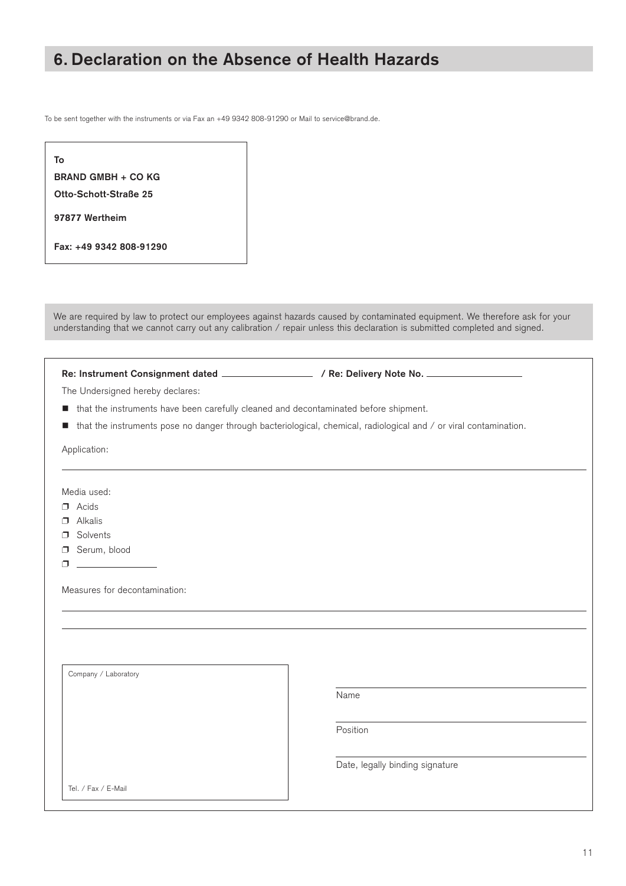## **6. Declaration on the Absence of Health Hazards**

To be sent together with the instruments or via Fax an +49 9342 808-91290 or Mail to service@brand.de.

| To                        |
|---------------------------|
| <b>BRAND GMBH + CO KG</b> |
| Otto-Schott-Straße 25     |
| 97877 Wertheim            |
| Fax: +49 9342 808-91290   |

We are required by law to protect our employees against hazards caused by contaminated equipment. We therefore ask for your understanding that we cannot carry out any calibration / repair unless this declaration is submitted completed and signed.

**Re: Instrument Consignment dated / Re: Delivery Note No.** 

The Undersigned hereby declares:

- $\blacksquare$  that the instruments have been carefully cleaned and decontaminated before shipment.
- $\blacksquare$  that the instruments pose no danger through bacteriological, chemical, radiological and / or viral contamination.

Application:

Media used:

- $\n **A**cids\n$
- $\Box$  Alkalis
- p Solvents
- **D** Serum, blood
- $\Box$

 $\mathsf{I}$ 

 $\mathsf{I}$ 

 $\mathsf{I}$ 

Measures for decontamination:

Company / Laboratory

<u>Name (Name (Name (Name (Name (Name (Name (Name (Name (Name (Name (Name (Name (Name (Name (Name (Name (Name (Name (Name (Name (Name (Name (Name (Name (Name (Name (Name (Name (Name (Name (Name (Name (Name (Name (Name (Name </u>

**Position in the contract of the contract of the Position** 

Date, legally binding signature

Tel. / Fax / E-Mail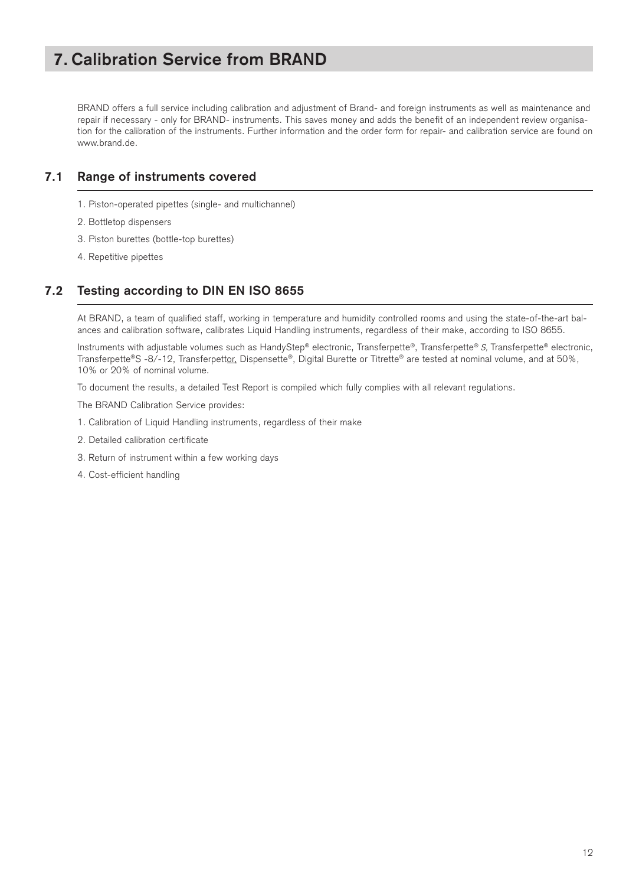## **7. Calibration Service from BRAND**

BRAND offers a full service including calibration and adjustment of Brand- and foreign instruments as well as maintenance and repair if necessary - only for BRAND- instruments. This saves money and adds the benefit of an independent review organisation for the calibration of the instruments. Further information and the order form for repair- and calibration service are found on www.brand.de.

### **7.1 Range of instruments covered**

- 1. Piston-operated pipettes (single- and multichannel)
- 2. Bottletop dispensers
- 3. Piston burettes (bottle-top burettes)
- 4. Repetitive pipettes

## **7.2 Testing according to DIN EN ISO 8655**

At BRAND, a team of qualified staff, working in temperature and humidity controlled rooms and using the state-of-the-art balances and calibration software, calibrates Liquid Handling instruments, regardless of their make, according to ISO 8655.

Instruments with adjustable volumes such as HandyStep® electronic, Transferpette®, Transferpette® S, Transferpette® electronic, Transferpette®S -8/-12, Transferpettor, Dispensette®, Digital Burette or Titrette® are tested at nominal volume, and at 50%, 10% or 20% of nominal volume.

To document the results, a detailed Test Report is compiled which fully complies with all relevant regulations.

The BRAND Calibration Service provides:

- 1. Calibration of Liquid Handling instruments, regardless of their make
- 2. Detailed calibration certificate
- 3. Return of instrument within a few working days
- 4. Cost-efficient handling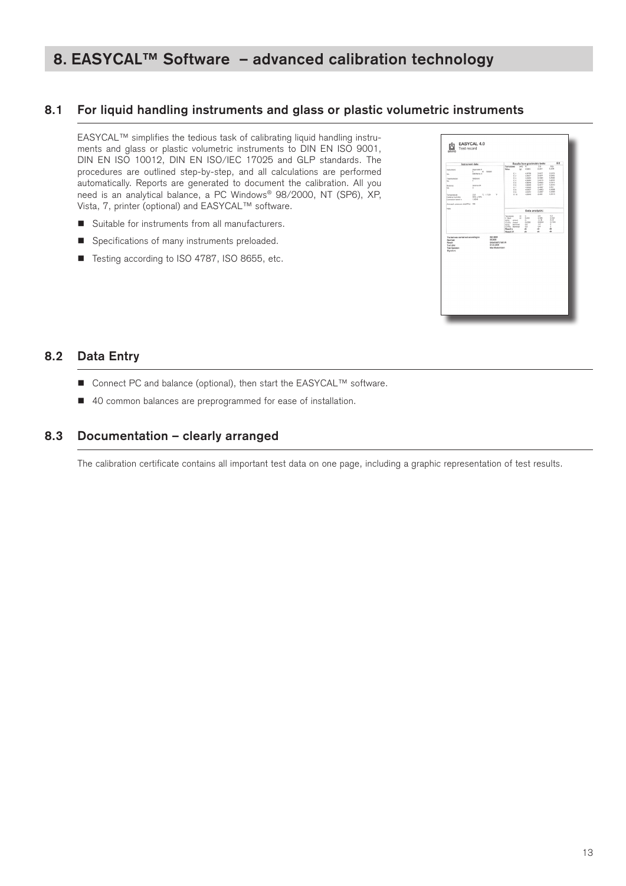## **8. EASYCAL™ Software – advanced calibration technology**

### **8.1 For liquid handling instruments and glass or plastic volumetric instruments**

EASYCAL™ simplifies the tedious task of calibrating liquid handling instruments and glass or plastic volumetric instruments to DIN EN ISO 9001, DIN EN ISO 10012, DIN EN ISO/IEC 17025 and GLP standards. The procedures are outlined step-by-step, and all calculations are performed automatically. Reports are generated to document the calibration. All you need is an analytical balance, a PC Windows® 98/2000, NT (SP6), XP, Vista, 7, printer (optional) and EASYCAL™ software.

- $\blacksquare$  Suitable for instruments from all manufacturers.
- **n** Specifications of many instruments preloaded.
- Testing according to ISO 4787, ISO 8655, etc.



### **8.2 Data Entry**

- Connect PC and balance (optional), then start the EASYCAL™ software.
- 40 common balances are preprogrammed for ease of installation.

### **8.3 Documentation – clearly arranged**

The calibration certificate contains all important test data on one page, including a graphic representation of test results.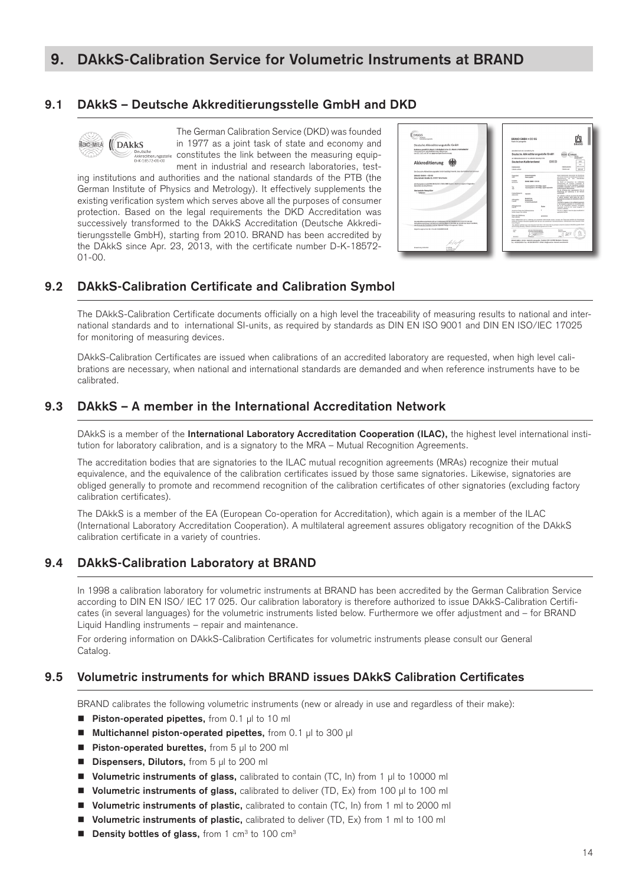## **9. DAkkS-Calibration Service for Volumetric Instruments at BRAND**

### **9.1 DAkkS – Deutsche Akkreditierungsstelle GmbH and DKD**



The German Calibration Service (DKD) was founded in 1977 as a joint task of state and economy and constitutes the link between the measuring equipment in industrial and research laboratories, test-

ing institutions and authorities and the national standards of the PTB (the German Institute of Physics and Metrology). It effectively supplements the existing verification system which serves above all the purposes of consumer protection. Based on the legal requirements the DKD Accreditation was successively transformed to the DAkkS Accreditation (Deutsche Akkreditierungsstelle GmbH), starting from 2010. BRAND has been accredited by the DAkkS since Apr. 23, 2013, with the certificate number D-K-18572- 01-00.

| <b>Service</b><br>Ald-tell Genus promptle                                                                                                                                                   | BRAND GMBH + CO KG<br>Fabrik für Laborgeräte                                                                                                                                                                                                                              |                                    |
|---------------------------------------------------------------------------------------------------------------------------------------------------------------------------------------------|---------------------------------------------------------------------------------------------------------------------------------------------------------------------------------------------------------------------------------------------------------------------------|------------------------------------|
| Deutsche Akkreditierungsstelle GmbH                                                                                                                                                         |                                                                                                                                                                                                                                                                           |                                    |
| Reliebene annulit 5 B.Meura 1. Hakladieti LV.m. 5 1. Absatz 1. Abidrofie GBV<br>Listacarahnerin der Multilateraten Abkommen<br>von EX. ILM, und Wi zur angenanitigen Anerkennung            | attended dust del acceded by the<br>Deutsche Akkreditierungsstelle GmbH                                                                                                                                                                                                   | PANNS                              |
|                                                                                                                                                                                             | also high standard product for 1 an audit rather behaviors in the<br>DKD<br>Desdanhen Kalihrienflaget                                                                                                                                                                     | sans.                              |
| Akkreditierung                                                                                                                                                                              |                                                                                                                                                                                                                                                                           | $\sim$                             |
|                                                                                                                                                                                             | Editorial Fax<br>Kallstewhelm<br>Cultural and<br>Glimbroothe                                                                                                                                                                                                              | <b><i>SEVENDARE</i></b><br>3013-01 |
| Die Deutsche Alikneitierungsgebie Gmbil bestintet Hermit, dem des Kaliforinisterwischen                                                                                                     |                                                                                                                                                                                                                                                                           |                                    |
| <b>BRAND GMRH + CO KG</b><br>Otto-Schott-Straße 25, 93877 Wortholm                                                                                                                          | Tiese Kahdenchek Adumented da Türkühnen<br>Kritechulaigete<br>Ostendard<br>ad salvade formits he Contehns for Estuday &<br>Failur algebra<br>ni Co<br>Durantenas el del terralmini<br>Estatementos GA                                                                     |                                    |
|                                                                                                                                                                                             | Handyller<br><b>BRAND GARDS &amp; COLKG</b><br>De DGAS le Depositrar de militanese<br><b>Waldelland</b><br>Dealthman de Estate respective for                                                                                                                             |                                    |
| die Kompetenz nach DBI EN ISO/IEC 17025 2005 besitzt, Kalibrierungen in folgenden.<br>bereichen durchpuführen:                                                                              | Associate (D) and the International Laboratory<br>Transferredbet \$ 100-100aC dialtal<br>Australian Council on EAC are governings<br>To:<br>Transferratted: 8 Kills ABIA 4 Alated adjustable<br>Anchemera by Katurachine.<br>a                                            |                                    |
| Mechanische Messarblam<br>- Volumen                                                                                                                                                         | Fo de Enturo des agencieres For or<br>Medallybuy de Kalbiscup or der Bendise<br>Educational                                                                                                                                                                               |                                    |
|                                                                                                                                                                                             | waterful.<br>100721<br>Selenarity<br>This collection profitable discussed the transferry                                                                                                                                                                                  |                                    |
|                                                                                                                                                                                             | is natural shedpick, which makes the critic of<br>Batefino<br>management according to the international Section of<br>Adventure<br><b>Business Ave</b><br>Deb OX<br>$-1$<br><b>Aristal Bustwater</b><br>The Dried is significant the multidianal agreements               |                                    |
|                                                                                                                                                                                             | of the European co-grandice by Accountation (EA)<br>and of the Atlantical Laborator doctorbane<br>Athapeunner<br>Buder<br>Coposito (LK) by the mitor scoppine of<br><b>GALLER</b><br><b>Information Auditorials</b>                                                       |                                    |
|                                                                                                                                                                                             | Annati de Teine Ara Kaliniere/teinen<br>The way in status in hour the stated moderated at<br>Subject and party of the number<br>amminists intervals.                                                                                                                      |                                    |
|                                                                                                                                                                                             | Ostum die Kaltinkerung<br><b>20 GM GI</b><br><b>Date of Julhame</b>                                                                                                                                                                                                       |                                    |
| Die Aldereifüngungspräusigte auft nur in Vierbindung mit den Brochniel vom 1974-1973 mit der<br>Nikreddenvesanummer (H-1857)-E) und enging bis 11 64 76th. Sie beroffe zus diesem Deckhler, | Floor Editionship, Art or vehicle is not unable to educational works. Analysis who believes building the Conditional<br>parti or busches kinstitus guade Grön als ach dis academier Kalsindarsindums Kallehenheim shor Ditersifelt haber<br><b><i>Salta Gillidade</i></b> |                                    |
| the Michigans day European und der Universitet Zeitum mit insprunent 4 Sellem.                                                                                                              | This pathology partitions may set be aproduced after than in full except with the paradision of dash the Emutician Allena Manufacturepoints Christi<br>and the interig following. California positionist with our opportune was not call of                               |                                    |
| Instantanopersonary de Urbande, D.K. (2012) 01-00                                                                                                                                           | Air in Tabletoniania<br><b>Arrest Ave</b><br><b>Tuke</b><br><b>Service &amp; Alberta</b><br>≂<br><b>CATA subsets Muse</b>                                                                                                                                                 |                                    |
|                                                                                                                                                                                             | 1.056<br><b>Johnson</b>                                                                                                                                                                                                                                                   |                                    |
|                                                                                                                                                                                             | BRAND ENTER + CO KE - Futuris für Laborgeräte · Pontfach 115E - D-9761 Warthelm · Dermory<br>Tel: HB 9042 906-0 - Fac: HB 9342 806-0001 - E-Balt, Info@brand.de - Internet: www.htend.de                                                                                  |                                    |

### **9.2 DAkkS-Calibration Certificate and Calibration Symbol**

The DAkkS-Calibration Certificate documents officially on a high level the traceability of measuring results to national and international standards and to international SI-units, as required by standards as DIN EN ISO 9001 and DIN EN ISO/IEC 17025 for monitoring of measuring devices.

DAkkS-Calibration Certificates are issued when calibrations of an accredited laboratory are requested, when high level calibrations are necessary, when national and international standards are demanded and when reference instruments have to be calibrated.

### **9.3 DAkkS – A member in the International Accreditation Network**

DAkkS is a member of the **International Laboratory Accreditation Cooperation (ILAC),** the highest level international institution for laboratory calibration, and is a signatory to the MRA – Mutual Recognition Agreements.

The accreditation bodies that are signatories to the ILAC mutual recognition agreements (MRAs) recognize their mutual equivalence, and the equivalence of the calibration certificates issued by those same signatories. Likewise, signatories are obliged generally to promote and recommend recognition of the calibration certificates of other signatories (excluding factory calibration certificates).

The DAkkS is a member of the EA (European Co-operation for Accreditation), which again is a member of the ILAC (International Laboratory Accreditation Cooperation). A multilateral agreement assures obligatory recognition of the DAkkS calibration certificate in a variety of countries.

### **9.4 DAkkS-Calibration Laboratory at BRAND**

In 1998 a calibration laboratory for volumetric instruments at BRAND has been accredited by the German Calibration Service according to DIN EN ISO/ IEC 17 025. Our calibration laboratory is therefore authorized to issue DAkkS-Calibration Certificates (in several languages) for the volumetric instruments listed below. Furthermore we offer adjustment and – for BRAND Liquid Handling instruments – repair and maintenance.

For ordering information on DAkkS-Calibration Certificates for volumetric instruments please consult our General Catalog.

### **9.5 Volumetric instruments for which BRAND issues DAkkS Calibration Certificates**

BRAND calibrates the following volumetric instruments (new or already in use and regardless of their make):

- Piston-operated pipettes, from 0.1 µl to 10 ml
- **Multichannel piston-operated pipettes**, from 0.1 ul to 300 ul
- Piston-operated burettes, from 5 µl to 200 ml
- **Dispensers, Dilutors,** from 5 µl to 200 ml
- **Volumetric instruments of glass,** calibrated to contain (TC, In) from 1 µl to 10000 ml
- **Volumetric instruments of glass,** calibrated to deliver (TD, Ex) from 100 µl to 100 ml
- Volumetric instruments of plastic, calibrated to contain (TC, In) from 1 ml to 2000 ml
- **Volumetric instruments of plastic,** calibrated to deliver (TD, Ex) from 1 ml to 100 ml
- Density bottles of glass, from 1 cm<sup>3</sup> to 100 cm<sup>3</sup>